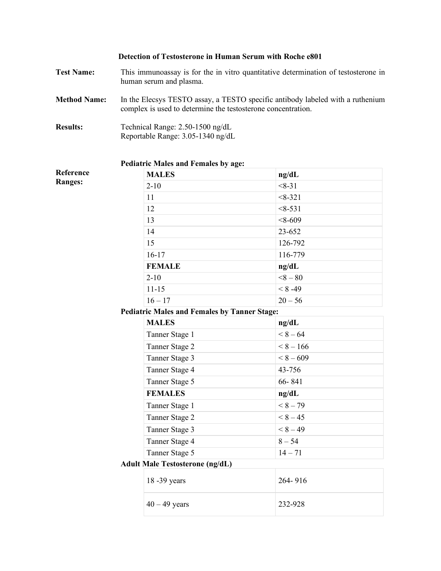|                     | Detection of Testosterone in Human Serum with Roche e801                                                                                       |             |  |  |
|---------------------|------------------------------------------------------------------------------------------------------------------------------------------------|-------------|--|--|
| <b>Test Name:</b>   | This immunoassay is for the in vitro quantitative determination of testosterone in<br>human serum and plasma.                                  |             |  |  |
| <b>Method Name:</b> | In the Elecsys TESTO assay, a TESTO specific antibody labeled with a ruthenium<br>complex is used to determine the testosterone concentration. |             |  |  |
| <b>Results:</b>     | Technical Range: 2.50-1500 ng/dL<br>Reportable Range: 3.05-1340 ng/dL                                                                          |             |  |  |
|                     | <b>Pediatric Males and Females by age:</b>                                                                                                     |             |  |  |
| Reference           | <b>MALES</b>                                                                                                                                   | ng/dL       |  |  |
| <b>Ranges:</b>      | $2 - 10$                                                                                                                                       | $<8-31$     |  |  |
|                     | 11                                                                                                                                             | $<8-321$    |  |  |
|                     | 12                                                                                                                                             | $<8-531$    |  |  |
|                     | 13                                                                                                                                             | $< 8 - 609$ |  |  |
|                     | 14                                                                                                                                             | 23-652      |  |  |
|                     | 15                                                                                                                                             | 126-792     |  |  |
|                     | $16-17$                                                                                                                                        | 116-779     |  |  |
|                     | <b>FEMALE</b>                                                                                                                                  | ng/dL       |  |  |
|                     | $2 - 10$                                                                                                                                       | $8 - 80$    |  |  |
|                     | $11 - 15$                                                                                                                                      | $< 8 - 49$  |  |  |
|                     | $16 - 17$                                                                                                                                      | $20 - 56$   |  |  |
|                     | <b>Pediatric Males and Females by Tanner Stage:</b>                                                                                            |             |  |  |
|                     | <b>MALES</b>                                                                                                                                   | ng/dL       |  |  |
|                     | Tanner Stage 1                                                                                                                                 | $< 8 - 64$  |  |  |
|                     | Tanner Stage 2                                                                                                                                 | $< 8 - 166$ |  |  |
|                     | Tanner Stage 3                                                                                                                                 | $< 8 - 609$ |  |  |
|                     | Tanner Stage 4                                                                                                                                 | 43-756      |  |  |
|                     | Tanner Stage 5                                                                                                                                 | 66-841      |  |  |
|                     | <b>FEMALES</b>                                                                                                                                 | ng/dL       |  |  |
|                     | Tanner Stage 1                                                                                                                                 | $< 8-79$    |  |  |
|                     | Tanner Stage 2                                                                                                                                 | $< 8-45$    |  |  |
|                     | Tanner Stage 3                                                                                                                                 | $< 8-49$    |  |  |
|                     | Tanner Stage 4                                                                                                                                 | $8 - 54$    |  |  |
|                     | Tanner Stage 5                                                                                                                                 | $14 - 71$   |  |  |
|                     | <b>Adult Male Testosterone (ng/dL)</b>                                                                                                         |             |  |  |
|                     | 18 - 39 years                                                                                                                                  | 264-916     |  |  |
|                     | $40 - 49$ years                                                                                                                                | 232-928     |  |  |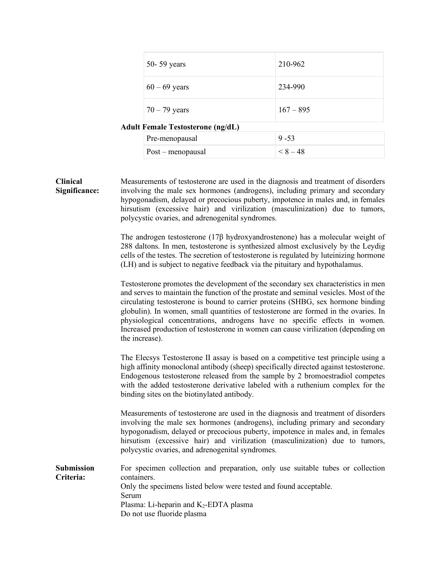|                                          | 50-59 years       | 210-962     |  |  |
|------------------------------------------|-------------------|-------------|--|--|
|                                          | $60 - 69$ years   | 234-990     |  |  |
|                                          | $70 - 79$ years   | $167 - 895$ |  |  |
| <b>Adult Female Testosterone (ng/dL)</b> |                   |             |  |  |
|                                          | Pre-menopausal    | $9 - 53$    |  |  |
|                                          | Post - menopausal | $< 8-48$    |  |  |

**Clinical Significance:** Measurements of testosterone are used in the diagnosis and treatment of disorders involving the male sex hormones (androgens), including primary and secondary hypogonadism, delayed or precocious puberty, impotence in males and, in females hirsutism (excessive hair) and virilization (masculinization) due to tumors, polycystic ovaries, and adrenogenital syndromes.

> The androgen testosterone (17β hydroxyandrostenone) has a molecular weight of 288 daltons. In men, testosterone is synthesized almost exclusively by the Leydig cells of the testes. The secretion of testosterone is regulated by luteinizing hormone (LH) and is subject to negative feedback via the pituitary and hypothalamus.

> Testosterone promotes the development of the secondary sex characteristics in men and serves to maintain the function of the prostate and seminal vesicles. Most of the circulating testosterone is bound to carrier proteins (SHBG, sex hormone binding globulin). In women, small quantities of testosterone are formed in the ovaries. In physiological concentrations, androgens have no specific effects in women. Increased production of testosterone in women can cause virilization (depending on the increase).

> The Elecsys Testosterone II assay is based on a competitive test principle using a high affinity monoclonal antibody (sheep) specifically directed against testosterone. Endogenous testosterone released from the sample by 2 bromoestradiol competes with the added testosterone derivative labeled with a ruthenium complex for the binding sites on the biotinylated antibody.

> Measurements of testosterone are used in the diagnosis and treatment of disorders involving the male sex hormones (androgens), including primary and secondary hypogonadism, delayed or precocious puberty, impotence in males and, in females hirsutism (excessive hair) and virilization (masculinization) due to tumors, polycystic ovaries, and adrenogenital syndromes.

**Submission Criteria:** For specimen collection and preparation, only use suitable tubes or collection containers. Only the specimens listed below were tested and found acceptable. Serum Plasma: Li-heparin and  $K_2$ -EDTA plasma Do not use fluoride plasma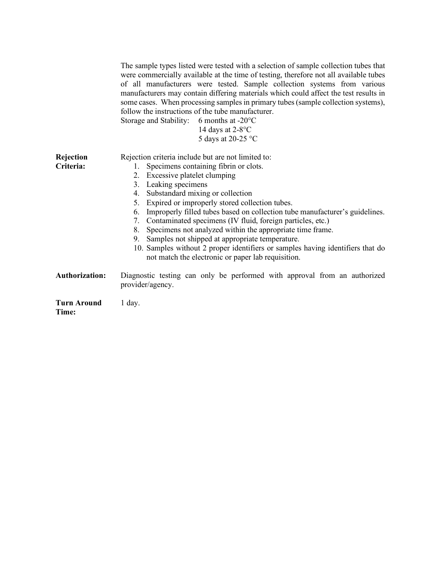|                             | The sample types listed were tested with a selection of sample collection tubes that<br>were commercially available at the time of testing, therefore not all available tubes<br>of all manufacturers were tested. Sample collection systems from various<br>manufacturers may contain differing materials which could affect the test results in<br>some cases. When processing samples in primary tubes (sample collection systems),<br>follow the instructions of the tube manufacturer.<br>Storage and Stability: 6 months at -20°C<br>14 days at $2-8$ <sup>o</sup> C<br>5 days at 20-25 °C                                                                                              |
|-----------------------------|-----------------------------------------------------------------------------------------------------------------------------------------------------------------------------------------------------------------------------------------------------------------------------------------------------------------------------------------------------------------------------------------------------------------------------------------------------------------------------------------------------------------------------------------------------------------------------------------------------------------------------------------------------------------------------------------------|
| Rejection<br>Criteria:      | Rejection criteria include but are not limited to:<br>Specimens containing fibrin or clots.<br>1.<br>2. Excessive platelet clumping<br>Leaking specimens<br>3.<br>Substandard mixing or collection<br>4.<br>Expired or improperly stored collection tubes.<br>5.<br>Improperly filled tubes based on collection tube manufacturer's guidelines.<br>6.<br>7.<br>Contaminated specimens (IV fluid, foreign particles, etc.)<br>Specimens not analyzed within the appropriate time frame.<br>8.<br>Samples not shipped at appropriate temperature.<br>9.<br>10. Samples without 2 proper identifiers or samples having identifiers that do<br>not match the electronic or paper lab requisition. |
| <b>Authorization:</b>       | Diagnostic testing can only be performed with approval from an authorized<br>provider/agency.                                                                                                                                                                                                                                                                                                                                                                                                                                                                                                                                                                                                 |
| <b>Turn Around</b><br>Time: | $1$ day.                                                                                                                                                                                                                                                                                                                                                                                                                                                                                                                                                                                                                                                                                      |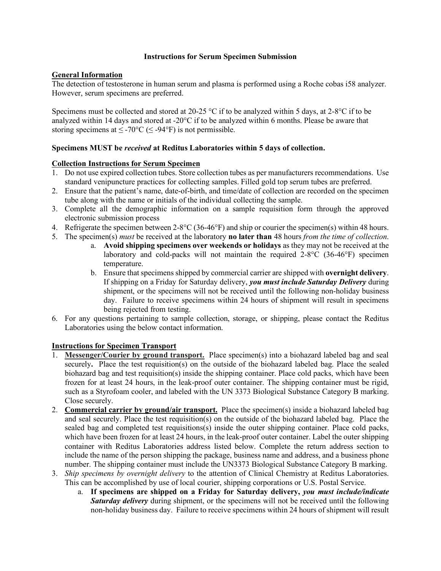## **Instructions for Serum Specimen Submission**

# **General Information**

The detection of testosterone in human serum and plasma is performed using a Roche cobas i58 analyzer. However, serum specimens are preferred.

Specimens must be collected and stored at 20-25 °C if to be analyzed within 5 days, at 2-8°C if to be analyzed within 14 days and stored at -20°C if to be analyzed within 6 months. Please be aware that storing specimens at  $\leq$  -70°C ( $\leq$  -94°F) is not permissible.

## **Specimens MUST be** *received* **at Reditus Laboratories within 5 days of collection.**

## **Collection Instructions for Serum Specimen**

- 1. Do not use expired collection tubes. Store collection tubes as per manufacturers recommendations. Use standard venipuncture practices for collecting samples. Filled gold top serum tubes are preferred.
- 2. Ensure that the patient's name, date-of-birth, and time/date of collection are recorded on the specimen tube along with the name or initials of the individual collecting the sample.
- 3. Complete all the demographic information on a sample requisition form through the approved electronic submission process
- 4. Refrigerate the specimen between 2-8°C (36-46°F) and ship or courier the specimen(s) within 48 hours.
- 5. The specimen(s) *must* be received at the laboratory **no later than** 48 hours *from the time of collection*.
	- a. **Avoid shipping specimens over weekends or holidays** as they may not be received at the laboratory and cold-packs will not maintain the required 2-8°C (36-46°F) specimen temperature.
	- b. Ensure that specimens shipped by commercial carrier are shipped with **overnight delivery**. If shipping on a Friday for Saturday delivery, *you must include Saturday Delivery* during shipment, or the specimens will not be received until the following non-holiday business day. Failure to receive specimens within 24 hours of shipment will result in specimens being rejected from testing.
- 6. For any questions pertaining to sample collection, storage, or shipping, please contact the Reditus Laboratories using the below contact information.

## **Instructions for Specimen Transport**

- 1. **Messenger/Courier by ground transport.** Place specimen(s) into a biohazard labeled bag and seal securely**.** Place the test requisition(s) on the outside of the biohazard labeled bag. Place the sealed biohazard bag and test requisition(s) inside the shipping container. Place cold packs, which have been frozen for at least 24 hours, in the leak-proof outer container. The shipping container must be rigid, such as a Styrofoam cooler, and labeled with the UN 3373 Biological Substance Category B marking. Close securely.
- 2. **Commercial carrier by ground/air transport.** Place the specimen(s) inside a biohazard labeled bag and seal securely. Place the test requisition(s) on the outside of the biohazard labeled bag. Place the sealed bag and completed test requisitions(s) inside the outer shipping container. Place cold packs, which have been frozen for at least 24 hours, in the leak-proof outer container. Label the outer shipping container with Reditus Laboratories address listed below. Complete the return address section to include the name of the person shipping the package, business name and address, and a business phone number. The shipping container must include the UN3373 Biological Substance Category B marking.
- 3. *Ship specimens by overnight delivery* to the attention of Clinical Chemistry at Reditus Laboratories. This can be accomplished by use of local courier, shipping corporations or U.S. Postal Service.
	- a. **If specimens are shipped on a Friday for Saturday delivery,** *you must include/indicate Saturday delivery* during shipment, or the specimens will not be received until the following non-holiday business day. Failure to receive specimens within 24 hours of shipment will result